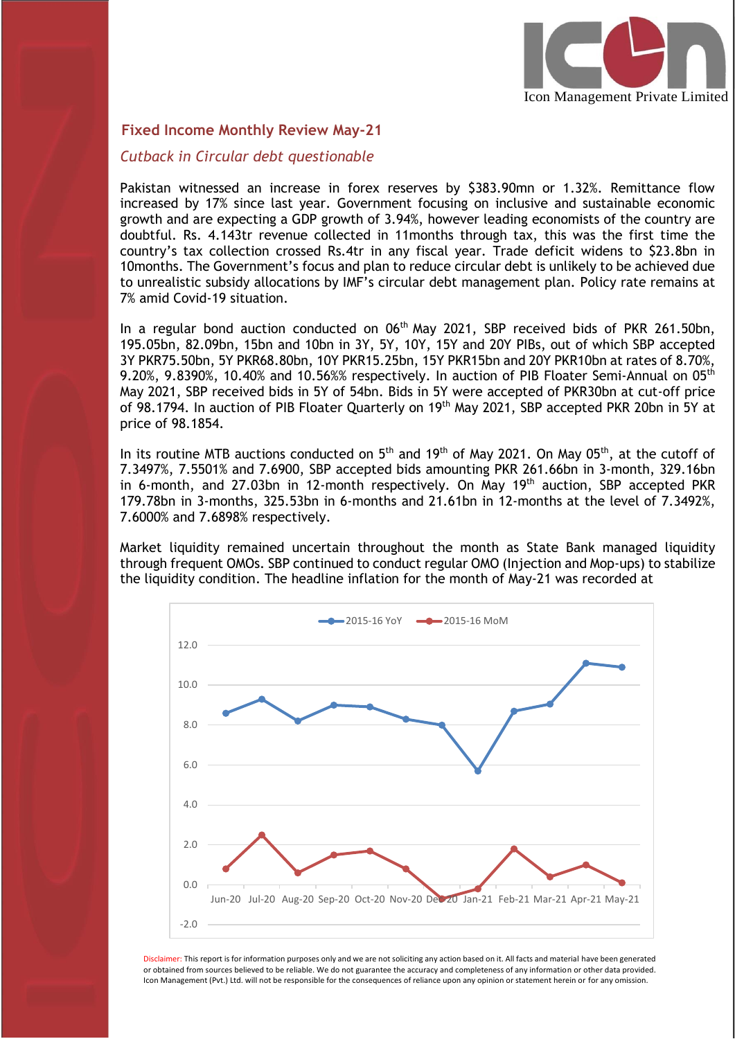

#### **Fixed Income Monthly Review May-21**

I

#### *Cutback in Circular debt questionable*

Pakistan witnessed an increase in forex reserves by \$383.90mn or 1.32%. Remittance flow increased by 17% since last year. Government focusing on inclusive and sustainable economic growth and are expecting a GDP growth of 3.94%, however leading economists of the country are doubtful. Rs. 4.143tr revenue collected in 11months through tax, this was the first time the country's tax collection crossed Rs.4tr in any fiscal year. Trade deficit widens to \$23.8bn in 10months. The Government's focus and plan to reduce circular debt is unlikely to be achieved due to unrealistic subsidy allocations by IMF's circular debt management plan. Policy rate remains at 7% amid Covid-19 situation.

In a regular bond auction conducted on 06<sup>th</sup> May 2021, SBP received bids of PKR 261.50bn, 195.05bn, 82.09bn, 15bn and 10bn in 3Y, 5Y, 10Y, 15Y and 20Y PIBs, out of which SBP accepted 3Y PKR75.50bn, 5Y PKR68.80bn, 10Y PKR15.25bn, 15Y PKR15bn and 20Y PKR10bn at rates of 8.70%, 9.20%, 9.8390%, 10.40% and 10.56%% respectively. In auction of PIB Floater Semi-Annual on 05 $^{\rm th}$ May 2021, SBP received bids in 5Y of 54bn. Bids in 5Y were accepted of PKR30bn at cut-off price of 98.1794. In auction of PIB Floater Quarterly on 19<sup>th</sup> May 2021, SBP accepted PKR 20bn in 5Y at price of 98.1854.

In its routine MTB auctions conducted on  $5^{\text{th}}$  and 19 $^{\text{th}}$  of May 2021. On May 05 $^{\text{th}}$ , at the cutoff of 7.3497%, 7.5501% and 7.6900, SBP accepted bids amounting PKR 261.66bn in 3-month, 329.16bn in 6-month, and 27.03bn in 12-month respectively. On May  $19<sup>th</sup>$  auction, SBP accepted PKR 179.78bn in 3-months, 325.53bn in 6-months and 21.61bn in 12-months at the level of 7.3492%, 7.6000% and 7.6898% respectively.

Market liquidity remained uncertain throughout the month as State Bank managed liquidity through frequent OMOs. SBP continued to conduct regular OMO (Injection and Mop-ups) to stabilize the liquidity condition. The headline inflation for the month of May-21 was recorded at



Disclaimer: This report is for information purposes only and we are not soliciting any action based on it. All facts and material have been generated or obtained from sources believed to be reliable. We do not guarantee the accuracy and completeness of any information or other data provided. Icon Management (Pvt.) Ltd. will not be responsible for the consequences of reliance upon any opinion or statement herein or for any omission.